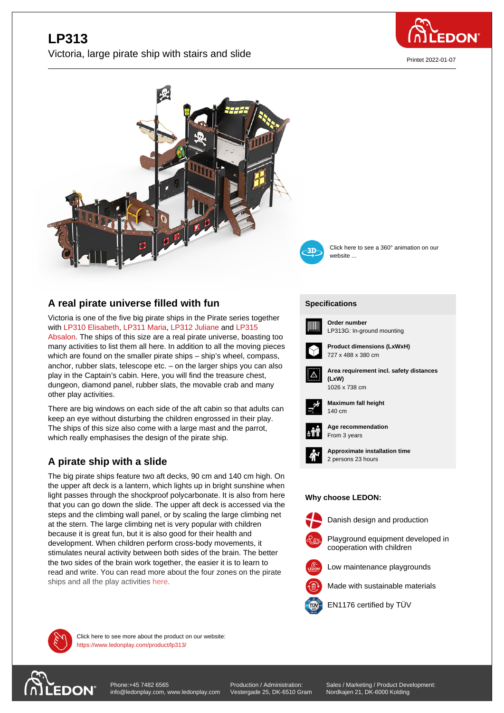

Printet 2022-01-07

# **LP313** Victoria, large pirate ship with stairs and slide





Click here to see a 360° animation on our website ...

### **A real pirate universe filled with fun**

Victoria is one of the five big pirate ships in the Pirate series together with LP310 Elisabeth, LP311 Maria, LP312 Juliane and LP315 Absalon. The ships of this size are a real pirate universe, boasting too many activities to list them all here. In addition to all the moving pieces which are found on the smaller pirate ships – ship's wheel, compass, anc[hor, rubber slats,](https://www.ledonplay.com/product/LP310/) t[elescope etc.](https://www.ledonplay.com/product/LP311/) [– on the larger](https://www.ledonplay.com/product/LP312/) ship[s you ca](https://www.ledonplay.com/product/LP315/)n also [play in th](https://www.ledonplay.com/product/LP315/)e Captain's cabin. Here, you will find the treasure chest, dungeon, diamond panel, rubber slats, the movable crab and many other play activities.

There are big windows on each side of the aft cabin so that adults can keep an eye without disturbing the children engrossed in their play. The ships of this size also come with a large mast and the parrot, which really emphasises the design of the pirate ship.

## **A pirate ship with a slide**

The big pirate ships feature two aft decks, 90 cm and 140 cm high. On the upper aft deck is a lantern, which lights up in bright sunshine when light passes through the shockproof polycarbonate. It is also from here that you can go down the slide. The upper aft deck is accessed via the steps and the climbing wall panel, or by scaling the large climbing net at the stern. The large climbing net is very popular with children because it is great fun, but it is also good for their health and development. When children perform cross-body movements, it stimulates neural activity between both sides of the brain. The better the two sides of the brain work together, the easier it is to learn to read and write. You can read more about the four zones on the pirate ships and all the play activities here.

#### **[Specific](https://www.ledonplay.com/product/lp313/)ations [Speci](https://www.ledonplay.com/product/lp313/)fications**



**Order number** LP313G: In-ground mounting



**Area requirement incl. safety distances**





**Maximum fall height** 140 cm 140 cm



**Age recommendation** From 3 years



**Approximate installation time** 2 persons 23 hours

#### **Why choose LEDON: Why choose LEDON:**



Danish design and production



- Low maintenance playgrounds
- Made with sustainable materials



EN1176 certified by TÜV



Click here to see more about the product on our website: https://www.ledonplay.com/product/lp313/



SUUN info@ledonplay.com, www.ledonplay.com Vestergade 25 [Phone:+45 7482 6565](https://www.ledonplay.com/product/lp313/)

Production / Administration: Vestergade 25, DK-6510 Gram